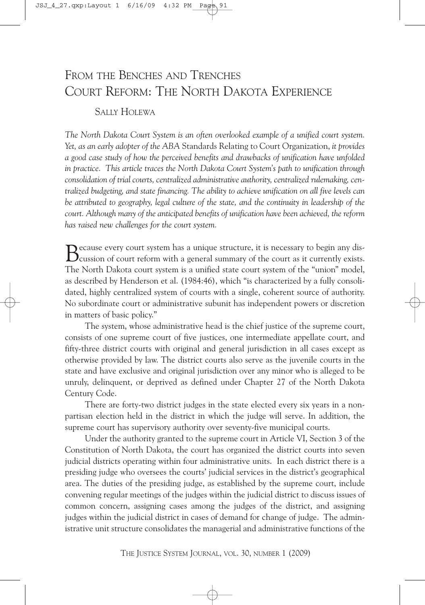# FROM THE BENCHES AND TRENCHES COURT REFORM: THE NORTH DAKOTA EXPERIENCE

# SALLY HOLEWA

*The North Dakota Court System is an often overlooked example of a unified court system. Yet, as an early adopter of the ABA* Standards Relating to Court Organization, *it provides a good case study of how the perceived benefits and drawbacks of unification have unfolded in practice. This article traces the North Dakota Court System's path to unification through consolidation of trial courts, centralized administrative authority, centralized rulemaking, centralized budgeting, and state financing. The ability to achieve unification on all five levels can be attributed to geography, legal culture of the state, and the continuity in leadership of the court. Although many of the anticipated benefits of unification have been achieved, the reform has raised new challenges for the court system.*

Because every court system has <sup>a</sup> unique structure, it is necessary to begin any dis-cussion of court reform with a general summary of the court as it currently exists. The North Dakota court system is a unified state court system of the "union" model, as described by Henderson et al. (1984:46), which "is characterized by a fully consolidated, highly centralized system of courts with a single, coherent source of authority. No subordinate court or administrative subunit has independent powers or discretion in matters of basic policy."

The system, whose administrative head is the chief justice of the supreme court, consists of one supreme court of five justices, one intermediate appellate court, and fifty-three district courts with original and general jurisdiction in all cases except as otherwise provided by law. The district courts also serve as the juvenile courts in the state and have exclusive and original jurisdiction over any minor who is alleged to be unruly, delinquent, or deprived as defined under Chapter 27 of the North Dakota Century Code.

There are forty-two district judges in the state elected every six years in a nonpartisan election held in the district in which the judge will serve. In addition, the supreme court has supervisory authority over seventy-five municipal courts.

Under the authority granted to the supreme court in Article VI, Section 3 of the Constitution of North Dakota, the court has organized the district courts into seven judicial districts operating within four administrative units. In each district there is a presiding judge who oversees the courts' judicial services in the district's geographical area. The duties of the presiding judge, as established by the supreme court, include convening regular meetings of the judges within the judicial district to discuss issues of common concern, assigning cases among the judges of the district, and assigning judges within the judicial district in cases of demand for change of judge. The administrative unit structure consolidates the managerial and administrative functions of the

THE JUSTICE SYSTEM JOURNAL, VOL. 30, NUMBER 1 (2009)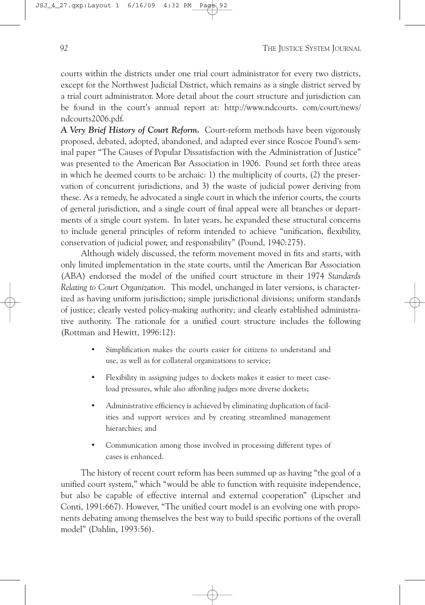courts within the districts under one trial court administrator for every two districts, except for the Northwest Judicial District, which remains as a single district served by a trial court administrator. More detail about the court structure and jurisdiction can be found in the court's annual report at: http://www.ndcourts. com/court/news/ ndcourts2006.pdf.

*A Very Brief History of Court Reform.* Court-reform methods have been vigorously proposed, debated, adopted, abandoned, and adapted ever since Roscoe Pound's seminal paper "The Causes of Popular Dissatisfaction with the Administration of Justice" was presented to the American Bar Association in 1906. Pound set forth three areas in which he deemed courts to be archaic: 1) the multiplicity of courts, (2) the preservation of concurrent jurisdictions, and 3) the waste of judicial power deriving from these. As a remedy, he advocated a single court in which the inferior courts, the courts of general jurisdiction, and a single court of final appeal were all branches or departments of a single court system. In later years, he expanded these structural concerns to include general principles of reform intended to achieve "unification, flexibility, conservation of judicial power, and responsibility" (Pound, 1940:275).

Although widely discussed, the reform movement moved in fits and starts, with only limited implementation in the state courts, until the American Bar Association (ABA) endorsed the model of the unified court structure in their 1974 *Standards Relating to Court Organization*. This model, unchanged in later versions, is characterized as having uniform jurisdiction; simple jurisdictional divisions; uniform standards of justice; clearly vested policy-making authority; and clearly established administrative authority. The rationale for a unified court structure includes the following (Rottman and Hewitt, 1996:12):

- Simplification makes the courts easier for citizens to understand and use, as well as for collateral organizations to service;
- Flexibility in assigning judges to dockets makes it easier to meet caseload pressures, while also affording judges more diverse dockets;
- Administrative efficiency is achieved by eliminating duplication of facilities and support services and by creating streamlined management hierarchies; and
- Communication among those involved in processing different types of cases is enhanced.

The history of recent court reform has been summed up as having "the goal of a unified court system," which "would be able to function with requisite independence, but also be capable of effective internal and external cooperation" (Lipscher and Conti, 1991:667). However, "The unified court model is an evolving one with proponents debating among themselves the best way to build specific portions of the overall model" (Dahlin, 1993:56).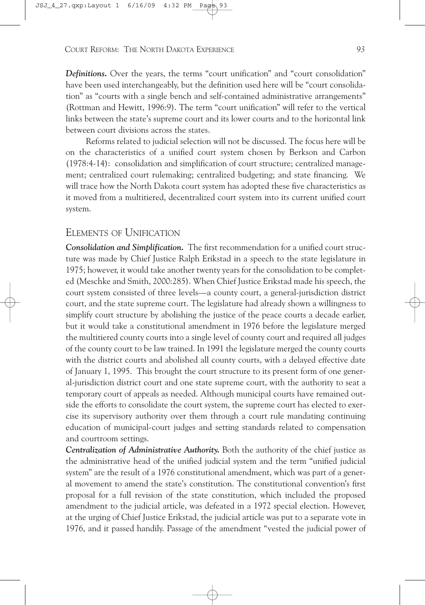*Definitions.* Over the years, the terms "court unification" and "court consolidation" have been used interchangeably, but the definition used here will be "court consolidation" as "courts with a single bench and self-contained administrative arrangements" (Rottman and Hewitt, 1996:9). The term "court unification" will refer to the vertical links between the state's supreme court and its lower courts and to the horizontal link between court divisions across the states.

Reforms related to judicial selection will not be discussed. The focus here will be on the characteristics of a unified court system chosen by Berkson and Carbon (1978:4-14): consolidation and simplification of court structure; centralized management; centralized court rulemaking; centralized budgeting; and state financing. We will trace how the North Dakota court system has adopted these five characteristics as it moved from a multitiered, decentralized court system into its current unified court system.

## ELEMENTS OF UNIFICATION

*Consolidation and Simplification.* The first recommendation for a unified court structure was made by Chief Justice Ralph Erikstad in a speech to the state legislature in 1975; however, it would take another twenty years for the consolidation to be completed (Meschke and Smith, 2000:285). When Chief Justice Erikstad made his speech, the court system consisted of three levels—a county court, a general-jurisdiction district court, and the state supreme court. The legislature had already shown a willingness to simplify court structure by abolishing the justice of the peace courts a decade earlier, but it would take a constitutional amendment in 1976 before the legislature merged the multitiered county courts into a single level of county court and required all judges of the county court to be law trained. In 1991 the legislature merged the county courts with the district courts and abolished all county courts, with a delayed effective date of January 1, 1995. This brought the court structure to its present form of one general-jurisdiction district court and one state supreme court, with the authority to seat a temporary court of appeals as needed. Although municipal courts have remained outside the efforts to consolidate the court system, the supreme court has elected to exercise its supervisory authority over them through a court rule mandating continuing education of municipal-court judges and setting standards related to compensation and courtroom settings.

*Centralization of Administrative Authority.* Both the authority of the chief justice as the administrative head of the unified judicial system and the term "unified judicial system" are the result of a 1976 constitutional amendment, which was part of a general movement to amend the state's constitution. The constitutional convention's first proposal for a full revision of the state constitution, which included the proposed amendment to the judicial article, was defeated in a 1972 special election. However, at the urging of Chief Justice Erikstad, the judicial article was put to a separate vote in 1976, and it passed handily. Passage of the amendment "vested the judicial power of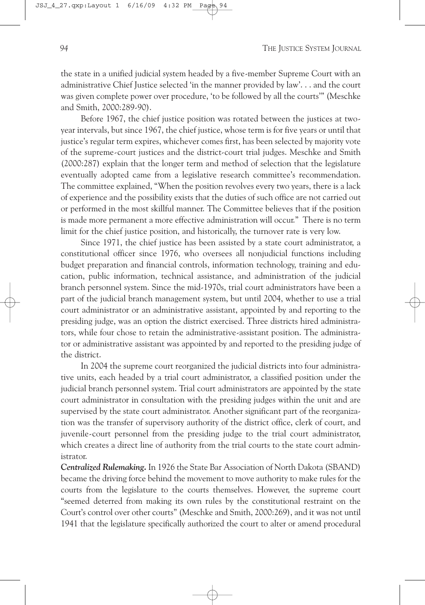the state in a unified judicial system headed by a five-member Supreme Court with an administrative Chief Justice selected 'in the manner provided by law'. . . and the court was given complete power over procedure, 'to be followed by all the courts'" (Meschke and Smith, 2000:289-90).

Before 1967, the chief justice position was rotated between the justices at twoyear intervals, but since 1967, the chief justice, whose term is for five years or until that justice's regular term expires, whichever comes first, has been selected by majority vote of the supreme-court justices and the district-court trial judges. Meschke and Smith (2000:287) explain that the longer term and method of selection that the legislature eventually adopted came from a legislative research committee's recommendation. The committee explained, "When the position revolves every two years, there is a lack of experience and the possibility exists that the duties of such office are not carried out or performed in the most skillful manner. The Committee believes that if the position is made more permanent a more effective administration will occur." There is no term limit for the chief justice position, and historically, the turnover rate is very low.

Since 1971, the chief justice has been assisted by a state court administrator, a constitutional officer since 1976, who oversees all nonjudicial functions including budget preparation and financial controls, information technology, training and education, public information, technical assistance, and administration of the judicial branch personnel system. Since the mid-1970s, trial court administrators have been a part of the judicial branch management system, but until 2004, whether to use a trial court administrator or an administrative assistant, appointed by and reporting to the presiding judge, was an option the district exercised. Three districts hired administrators, while four chose to retain the administrative-assistant position. The administrator or administrative assistant was appointed by and reported to the presiding judge of the district.

In 2004 the supreme court reorganized the judicial districts into four administrative units, each headed by a trial court administrator, a classified position under the judicial branch personnel system. Trial court administrators are appointed by the state court administrator in consultation with the presiding judges within the unit and are supervised by the state court administrator. Another significant part of the reorganization was the transfer of supervisory authority of the district office, clerk of court, and juvenile-court personnel from the presiding judge to the trial court administrator, which creates a direct line of authority from the trial courts to the state court administrator.

*Centralized Rulemaking.* In 1926 the State Bar Association of North Dakota (SBAND) became the driving force behind the movement to move authority to make rules for the courts from the legislature to the courts themselves. However, the supreme court "seemed deterred from making its own rules by the constitutional restraint on the Court's control over other courts" (Meschke and Smith, 2000:269), and it was not until 1941 that the legislature specifically authorized the court to alter or amend procedural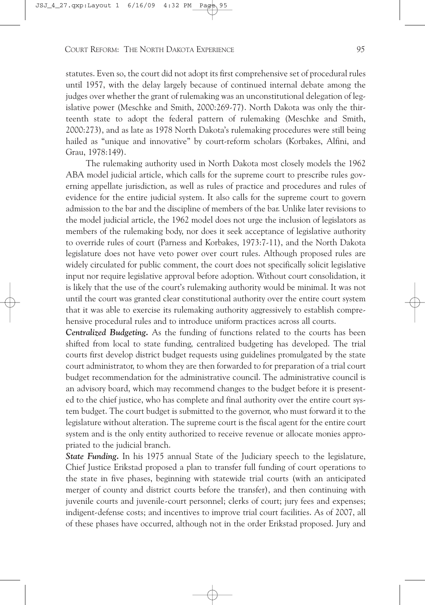statutes. Even so, the court did not adopt its first comprehensive set of procedural rules until 1957, with the delay largely because of continued internal debate among the judges over whether the grant of rulemaking was an unconstitutional delegation of legislative power (Meschke and Smith, 2000:269-77). North Dakota was only the thirteenth state to adopt the federal pattern of rulemaking (Meschke and Smith, 2000:273), and as late as 1978 North Dakota's rulemaking procedures were still being hailed as "unique and innovative" by court-reform scholars (Korbakes, Alfini, and Grau, 1978:149).

The rulemaking authority used in North Dakota most closely models the 1962 ABA model judicial article, which calls for the supreme court to prescribe rules governing appellate jurisdiction, as well as rules of practice and procedures and rules of evidence for the entire judicial system. It also calls for the supreme court to govern admission to the bar and the discipline of members of the bar. Unlike later revisions to the model judicial article, the 1962 model does not urge the inclusion of legislators as members of the rulemaking body, nor does it seek acceptance of legislative authority to override rules of court (Parness and Korbakes, 1973:7-11), and the North Dakota legislature does not have veto power over court rules. Although proposed rules are widely circulated for public comment, the court does not specifically solicit legislative input nor require legislative approval before adoption. Without court consolidation, it is likely that the use of the court's rulemaking authority would be minimal. It was not until the court was granted clear constitutional authority over the entire court system that it was able to exercise its rulemaking authority aggressively to establish comprehensive procedural rules and to introduce uniform practices across all courts.

*Centralized Budgeting.* As the funding of functions related to the courts has been shifted from local to state funding, centralized budgeting has developed. The trial courts first develop district budget requests using guidelines promulgated by the state court administrator, to whom they are then forwarded to for preparation of a trial court budget recommendation for the administrative council. The administrative council is an advisory board, which may recommend changes to the budget before it is presented to the chief justice, who has complete and final authority over the entire court system budget. The court budget is submitted to the governor, who must forward it to the legislature without alteration. The supreme court is the fiscal agent for the entire court system and is the only entity authorized to receive revenue or allocate monies appropriated to the judicial branch.

*State Funding.* In his 1975 annual State of the Judiciary speech to the legislature, Chief Justice Erikstad proposed a plan to transfer full funding of court operations to the state in five phases, beginning with statewide trial courts (with an anticipated merger of county and district courts before the transfer), and then continuing with juvenile courts and juvenile-court personnel; clerks of court; jury fees and expenses; indigent-defense costs; and incentives to improve trial court facilities. As of 2007, all of these phases have occurred, although not in the order Erikstad proposed. Jury and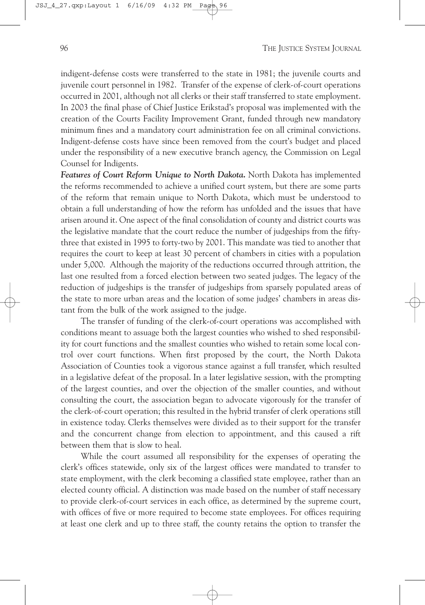indigent-defense costs were transferred to the state in 1981; the juvenile courts and juvenile court personnel in 1982. Transfer of the expense of clerk-of-court operations occurred in 2001, although not all clerks or their staff transferred to state employment. In 2003 the final phase of Chief Justice Erikstad's proposal was implemented with the creation of the Courts Facility Improvement Grant, funded through new mandatory minimum fines and a mandatory court administration fee on all criminal convictions. Indigent-defense costs have since been removed from the court's budget and placed under the responsibility of a new executive branch agency, the Commission on Legal Counsel for Indigents.

*Features of Court Reform Unique to North Dakota.* North Dakota has implemented the reforms recommended to achieve a unified court system, but there are some parts of the reform that remain unique to North Dakota, which must be understood to obtain a full understanding of how the reform has unfolded and the issues that have arisen around it. One aspect of the final consolidation of county and district courts was the legislative mandate that the court reduce the number of judgeships from the fiftythree that existed in 1995 to forty-two by 2001. This mandate was tied to another that requires the court to keep at least 30 percent of chambers in cities with a population under 5,000. Although the majority of the reductions occurred through attrition, the last one resulted from a forced election between two seated judges. The legacy of the reduction of judgeships is the transfer of judgeships from sparsely populated areas of the state to more urban areas and the location of some judges' chambers in areas distant from the bulk of the work assigned to the judge.

The transfer of funding of the clerk-of-court operations was accomplished with conditions meant to assuage both the largest counties who wished to shed responsibility for court functions and the smallest counties who wished to retain some local control over court functions. When first proposed by the court, the North Dakota Association of Counties took a vigorous stance against a full transfer, which resulted in a legislative defeat of the proposal. In a later legislative session, with the prompting of the largest counties, and over the objection of the smaller counties, and without consulting the court, the association began to advocate vigorously for the transfer of the clerk-of-court operation; this resulted in the hybrid transfer of clerk operations still in existence today. Clerks themselves were divided as to their support for the transfer and the concurrent change from election to appointment, and this caused a rift between them that is slow to heal.

While the court assumed all responsibility for the expenses of operating the clerk's offices statewide, only six of the largest offices were mandated to transfer to state employment, with the clerk becoming a classified state employee, rather than an elected county official. A distinction was made based on the number of staff necessary to provide clerk-of-court services in each office, as determined by the supreme court, with offices of five or more required to become state employees. For offices requiring at least one clerk and up to three staff, the county retains the option to transfer the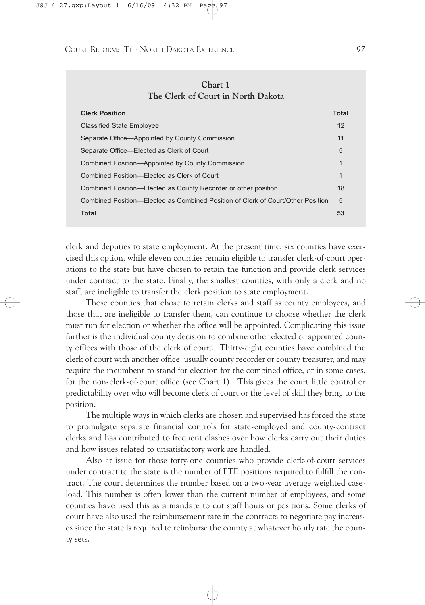JSJ\_4\_27.qxp:Layout 1 6/16/09

COURT REFORM: THE NORTH DAKOTA EXPERIENCE *97*

## **Chart 1 The Clerk of Court in North Dakota**

| <b>Clerk Position</b>                                                           | Total |
|---------------------------------------------------------------------------------|-------|
| <b>Classified State Employee</b>                                                | 12    |
| Separate Office-Appointed by County Commission                                  | 11    |
| Separate Office—Elected as Clerk of Court                                       | 5     |
| Combined Position—Appointed by County Commission                                | 1     |
| Combined Position—Elected as Clerk of Court                                     | 1     |
| Combined Position—Elected as County Recorder or other position                  | 18    |
| Combined Position—Elected as Combined Position of Clerk of Court/Other Position | 5     |
| <b>Total</b>                                                                    | 53    |

clerk and deputies to state employment. At the present time, six counties have exercised this option, while eleven counties remain eligible to transfer clerk-of-court operations to the state but have chosen to retain the function and provide clerk services under contract to the state. Finally, the smallest counties, with only a clerk and no staff, are ineligible to transfer the clerk position to state employment.

Those counties that chose to retain clerks and staff as county employees, and those that are ineligible to transfer them, can continue to choose whether the clerk must run for election or whether the office will be appointed. Complicating this issue further is the individual county decision to combine other elected or appointed county offices with those of the clerk of court. Thirty-eight counties have combined the clerk of court with another office, usually county recorder or county treasurer, and may require the incumbent to stand for election for the combined office, or in some cases, for the non-clerk-of-court office (see Chart 1). This gives the court little control or predictability over who will become clerk of court or the level of skill they bring to the position.

The multiple ways in which clerks are chosen and supervised has forced the state to promulgate separate financial controls for state-employed and county-contract clerks and has contributed to frequent clashes over how clerks carry out their duties and how issues related to unsatisfactory work are handled.

Also at issue for those forty-one counties who provide clerk-of-court services under contract to the state is the number of FTE positions required to fulfill the contract. The court determines the number based on a two-year average weighted caseload. This number is often lower than the current number of employees, and some counties have used this as a mandate to cut staff hours or positions. Some clerks of court have also used the reimbursement rate in the contracts to negotiate pay increases since the state is required to reimburse the county at whatever hourly rate the county sets.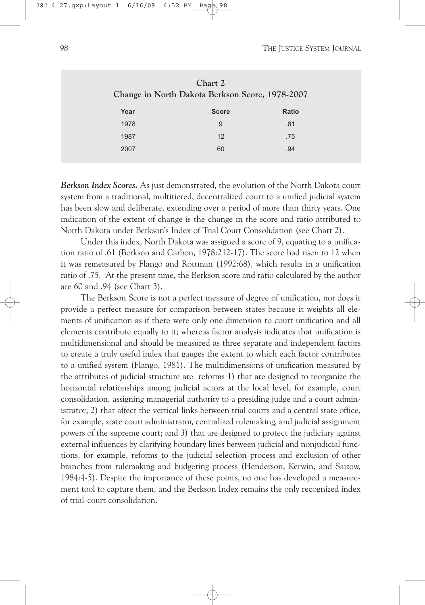|      | Chart 2<br>Change in North Dakota Berkson Score, 1978-2007 |       |
|------|------------------------------------------------------------|-------|
| Year | <b>Score</b>                                               | Ratio |
| 1978 | 9                                                          | .61   |
| 1987 | 12                                                         | .75   |
| 2007 | 60                                                         | .94   |
|      |                                                            |       |

*Berkson Index Scores.* As just demonstrated, the evolution of the North Dakota court system from a traditional, multitiered, decentralized court to a unified judicial system has been slow and deliberate, extending over a period of more than thirty years. One indication of the extent of change is the change in the score and ratio attributed to North Dakota under Berkson's Index of Trial Court Consolidation (see Chart 2).

Under this index, North Dakota was assigned a score of 9, equating to a unification ratio of .61 (Berkson and Carbon, 1978:212-17). The score had risen to 12 when it was remeasured by Flango and Rottman (1992:68), which results in a unification ratio of .75. At the present time, the Berkson score and ratio calculated by the author are 60 and .94 (see Chart 3).

The Berkson Score is not a perfect measure of degree of unification, nor does it provide a perfect measure for comparison between states because it weights all elements of unification as if there were only one dimension to court unification and all elements contribute equally to it; whereas factor analysis indicates that unification is multidimensional and should be measured as three separate and independent factors to create a truly useful index that gauges the extent to which each factor contributes to a unified system (Flango, 1981). The multidimensions of unification measured by the attributes of judicial structure are reforms 1) that are designed to reorganize the horizontal relationships among judicial actors at the local level, for example, court consolidation, assigning managerial authority to a presiding judge and a court administrator; 2) that affect the vertical links between trial courts and a central state office, for example, state court administrator, centralized rulemaking, and judicial assignment powers of the supreme court; and 3) that are designed to protect the judiciary against external influences by clarifying boundary lines between judicial and nonjudicial functions, for example, reforms to the judicial selection process and exclusion of other branches from rulemaking and budgeting process (Henderson, Kerwin, and Saizow, 1984:4-5). Despite the importance of these points, no one has developed a measurement tool to capture them, and the Berkson Index remains the only recognized index of trial-court consolidation.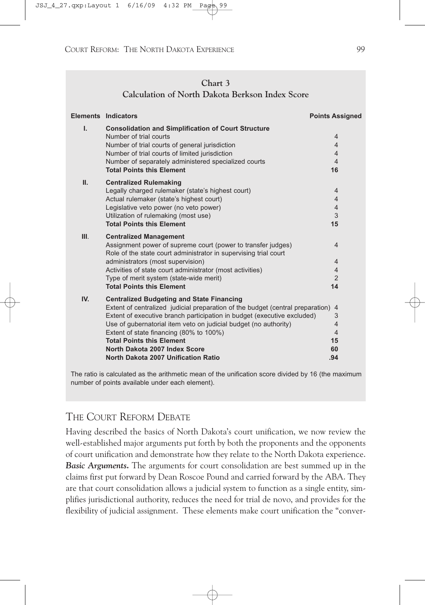# **Chart 3 Calculation of North Dakota Berkson Index Score**

| $\overline{4}$<br>$\overline{4}$<br>$\overline{4}$<br>$\overline{4}$<br>16<br>4  |
|----------------------------------------------------------------------------------|
|                                                                                  |
|                                                                                  |
|                                                                                  |
|                                                                                  |
|                                                                                  |
|                                                                                  |
|                                                                                  |
|                                                                                  |
| $\overline{4}$                                                                   |
| $\overline{4}$                                                                   |
| 3                                                                                |
| 15                                                                               |
|                                                                                  |
| $\overline{4}$                                                                   |
|                                                                                  |
| $\overline{4}$                                                                   |
| $\overline{4}$                                                                   |
| $\overline{2}$                                                                   |
| 14                                                                               |
|                                                                                  |
| Extent of centralized judicial preparation of the budget (central preparation) 4 |
| Extent of executive branch participation in budget (executive excluded)<br>3     |
| $\overline{4}$                                                                   |
| $\overline{4}$                                                                   |
| 15                                                                               |
| 60                                                                               |
| .94                                                                              |
|                                                                                  |

The ratio is calculated as the arithmetic mean of the unification score divided by 16 (the maximum number of points available under each element).

# THE COURT REFORM DEBATE

Having described the basics of North Dakota's court unification, we now review the well-established major arguments put forth by both the proponents and the opponents of court unification and demonstrate how they relate to the North Dakota experience. *Basic Arguments***.** The arguments for court consolidation are best summed up in the claims first put forward by Dean Roscoe Pound and carried forward by the ABA. They are that court consolidation allows a judicial system to function as a single entity, simplifies jurisdictional authority, reduces the need for trial de novo, and provides for the flexibility of judicial assignment. These elements make court unification the "conver-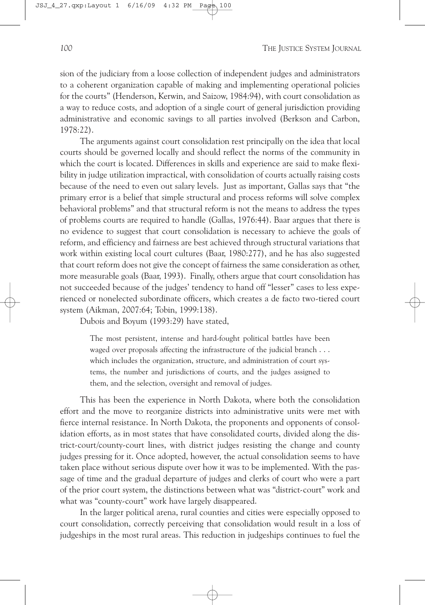sion of the judiciary from a loose collection of independent judges and administrators to a coherent organization capable of making and implementing operational policies for the courts" (Henderson, Kerwin, and Saizow, 1984:94), with court consolidation as a way to reduce costs, and adoption of a single court of general jurisdiction providing administrative and economic savings to all parties involved (Berkson and Carbon, 1978:22).

The arguments against court consolidation rest principally on the idea that local courts should be governed locally and should reflect the norms of the community in which the court is located. Differences in skills and experience are said to make flexibility in judge utilization impractical, with consolidation of courts actually raising costs because of the need to even out salary levels. Just as important, Gallas says that "the primary error is a belief that simple structural and process reforms will solve complex behavioral problems" and that structural reform is not the means to address the types of problems courts are required to handle (Gallas, 1976:44). Baar argues that there is no evidence to suggest that court consolidation is necessary to achieve the goals of reform, and efficiency and fairness are best achieved through structural variations that work within existing local court cultures (Baar, 1980:277), and he has also suggested that court reform does not give the concept of fairness the same consideration as other, more measurable goals (Baar, 1993). Finally, others argue that court consolidation has not succeeded because of the judges' tendency to hand off "lesser" cases to less experienced or nonelected subordinate officers, which creates a de facto two-tiered court system (Aikman, 2007:64; Tobin, 1999:138).

Dubois and Boyum (1993:29) have stated,

The most persistent, intense and hard-fought political battles have been waged over proposals affecting the infrastructure of the judicial branch . . . which includes the organization, structure, and administration of court systems, the number and jurisdictions of courts, and the judges assigned to them, and the selection, oversight and removal of judges.

This has been the experience in North Dakota, where both the consolidation effort and the move to reorganize districts into administrative units were met with fierce internal resistance. In North Dakota, the proponents and opponents of consolidation efforts, as in most states that have consolidated courts, divided along the district-court/county-court lines, with district judges resisting the change and county judges pressing for it. Once adopted, however, the actual consolidation seems to have taken place without serious dispute over how it was to be implemented. With the passage of time and the gradual departure of judges and clerks of court who were a part of the prior court system, the distinctions between what was "district-court" work and what was "county-court" work have largely disappeared.

In the larger political arena, rural counties and cities were especially opposed to court consolidation, correctly perceiving that consolidation would result in a loss of judgeships in the most rural areas. This reduction in judgeships continues to fuel the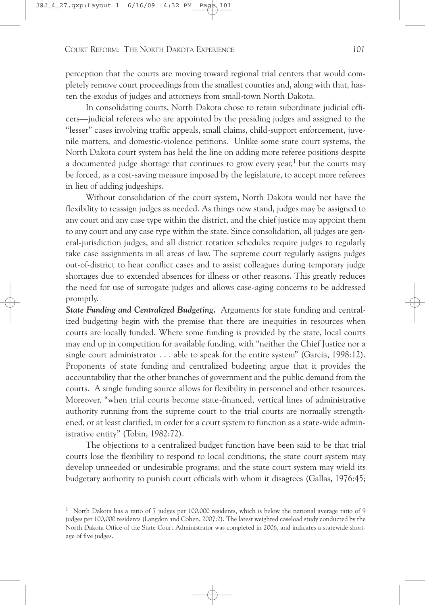perception that the courts are moving toward regional trial centers that would completely remove court proceedings from the smallest counties and, along with that, hasten the exodus of judges and attorneys from small-town North Dakota.

In consolidating courts, North Dakota chose to retain subordinate judicial officers—judicial referees who are appointed by the presiding judges and assigned to the "lesser" cases involving traffic appeals, small claims, child-support enforcement, juvenile matters, and domestic-violence petitions. Unlike some state court systems, the North Dakota court system has held the line on adding more referee positions despite a documented judge shortage that continues to grow every year,<sup>1</sup> but the courts may be forced, as a cost-saving measure imposed by the legislature, to accept more referees in lieu of adding judgeships.

Without consolidation of the court system, North Dakota would not have the flexibility to reassign judges as needed. As things now stand, judges may be assigned to any court and any case type within the district, and the chief justice may appoint them to any court and any case type within the state. Since consolidation, all judges are general-jurisdiction judges, and all district rotation schedules require judges to regularly take case assignments in all areas of law. The supreme court regularly assigns judges out-of-district to hear conflict cases and to assist colleagues during temporary judge shortages due to extended absences for illness or other reasons. This greatly reduces the need for use of surrogate judges and allows case-aging concerns to be addressed promptly.

*State Funding and Centralized Budgeting***.** Arguments for state funding and centralized budgeting begin with the premise that there are inequities in resources when courts are locally funded. Where some funding is provided by the state, local courts may end up in competition for available funding, with "neither the Chief Justice nor a single court administrator . . . able to speak for the entire system" (Garcia, 1998:12). Proponents of state funding and centralized budgeting argue that it provides the accountability that the other branches of government and the public demand from the courts. A single funding source allows for flexibility in personnel and other resources. Moreover, "when trial courts become state-financed, vertical lines of administrative authority running from the supreme court to the trial courts are normally strengthened, or at least clarified, in order for a court system to function as a state-wide administrative entity" (Tobin, 1982:72).

The objections to a centralized budget function have been said to be that trial courts lose the flexibility to respond to local conditions; the state court system may develop unneeded or undesirable programs; and the state court system may wield its budgetary authority to punish court officials with whom it disagrees (Gallas, 1976:45;

<sup>&</sup>lt;sup>1</sup> North Dakota has a ratio of 7 judges per 100,000 residents, which is below the national average ratio of 9 judges per 100,000 residents (Langdon and Cohen, 2007:2). The latest weighted caseload study conducted by the North Dakota Office of the State Court Administrator was completed in 2006, and indicates a statewide shortage of five judges.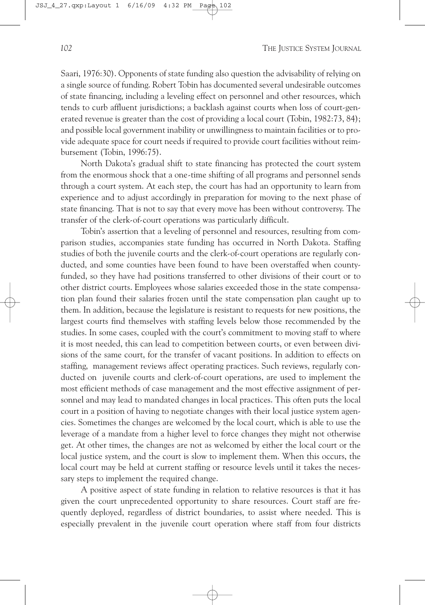Saari, 1976:30). Opponents of state funding also question the advisability of relying on a single source of funding. Robert Tobin has documented several undesirable outcomes of state financing, including a leveling effect on personnel and other resources, which tends to curb affluent jurisdictions; a backlash against courts when loss of court-generated revenue is greater than the cost of providing a local court (Tobin, 1982:73, 84); and possible local government inability or unwillingness to maintain facilities or to provide adequate space for court needs if required to provide court facilities without reimbursement (Tobin, 1996:75).

North Dakota's gradual shift to state financing has protected the court system from the enormous shock that a one-time shifting of all programs and personnel sends through a court system. At each step, the court has had an opportunity to learn from experience and to adjust accordingly in preparation for moving to the next phase of state financing. That is not to say that every move has been without controversy. The transfer of the clerk-of-court operations was particularly difficult.

Tobin's assertion that a leveling of personnel and resources, resulting from comparison studies, accompanies state funding has occurred in North Dakota. Staffing studies of both the juvenile courts and the clerk-of-court operations are regularly conducted, and some counties have been found to have been overstaffed when countyfunded, so they have had positions transferred to other divisions of their court or to other district courts. Employees whose salaries exceeded those in the state compensation plan found their salaries frozen until the state compensation plan caught up to them. In addition, because the legislature is resistant to requests for new positions, the largest courts find themselves with staffing levels below those recommended by the studies. In some cases, coupled with the court's commitment to moving staff to where it is most needed, this can lead to competition between courts, or even between divisions of the same court, for the transfer of vacant positions. In addition to effects on staffing, management reviews affect operating practices. Such reviews, regularly conducted on juvenile courts and clerk-of-court operations, are used to implement the most efficient methods of case management and the most effective assignment of personnel and may lead to mandated changes in local practices. This often puts the local court in a position of having to negotiate changes with their local justice system agencies. Sometimes the changes are welcomed by the local court, which is able to use the leverage of a mandate from a higher level to force changes they might not otherwise get. At other times, the changes are not as welcomed by either the local court or the local justice system, and the court is slow to implement them. When this occurs, the local court may be held at current staffing or resource levels until it takes the necessary steps to implement the required change.

A positive aspect of state funding in relation to relative resources is that it has given the court unprecedented opportunity to share resources. Court staff are frequently deployed, regardless of district boundaries, to assist where needed. This is especially prevalent in the juvenile court operation where staff from four districts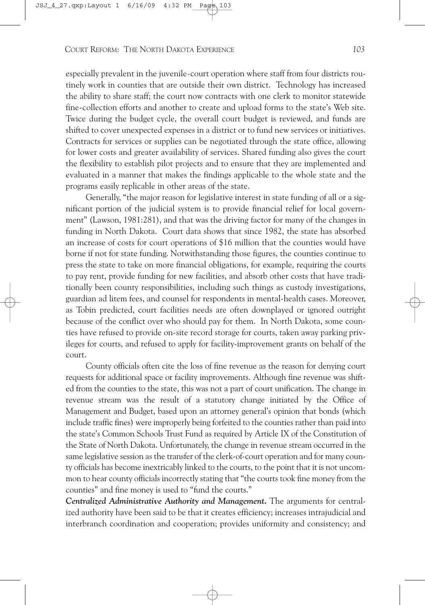especially prevalent in the juvenile-court operation where staff from four districts routinely work in counties that are outside their own district. Technology has increased the ability to share staff; the court now contracts with one clerk to monitor statewide fine-collection efforts and another to create and upload forms to the state's Web site. Twice during the budget cycle, the overall court budget is reviewed, and funds are shifted to cover unexpected expenses in a district or to fund new services or initiatives. Contracts for services or supplies can be negotiated through the state office, allowing for lower costs and greater availability of services. Shared funding also gives the court the flexibility to establish pilot projects and to ensure that they are implemented and evaluated in a manner that makes the findings applicable to the whole state and the programs easily replicable in other areas of the state.

Generally, "the major reason for legislative interest in state funding of all or a significant portion of the judicial system is to provide financial relief for local government" (Lawson, 1981:281), and that was the driving factor for many of the changes in funding in North Dakota. Court data shows that since 1982, the state has absorbed an increase of costs for court operations of \$16 million that the counties would have borne if not for state funding. Notwithstanding those figures, the counties continue to press the state to take on more financial obligations, for example, requiring the courts to pay rent, provide funding for new facilities, and absorb other costs that have traditionally been county responsibilities, including such things as custody investigations, guardian ad litem fees, and counsel for respondents in mental-health cases. Moreover, as Tobin predicted, court facilities needs are often downplayed or ignored outright because of the conflict over who should pay for them. In North Dakota, some counties have refused to provide on-site record storage for courts, taken away parking privileges for courts, and refused to apply for facility-improvement grants on behalf of the court.

County officials often cite the loss of fine revenue as the reason for denying court requests for additional space or facility improvements. Although fine revenue was shifted from the counties to the state, this was not a part of court unification. The change in revenue stream was the result of a statutory change initiated by the Office of Management and Budget, based upon an attorney general's opinion that bonds (which include traffic fines) were improperly being forfeited to the counties rather than paid into the state's Common Schools Trust Fund as required by Article IX of the Constitution of the State of North Dakota. Unfortunately, the change in revenue stream occurred in the same legislative session as the transfer of the clerk-of-court operation and for many county officials has become inextricably linked to the courts, to the point that it is not uncommon to hear county officials incorrectly stating that"the courts took fine money from the counties" and fine money is used to "fund the courts."

*Centralized Administrative Authority and Management.* The arguments for centralized authority have been said to be that it creates efficiency; increases intrajudicial and interbranch coordination and cooperation; provides uniformity and consistency; and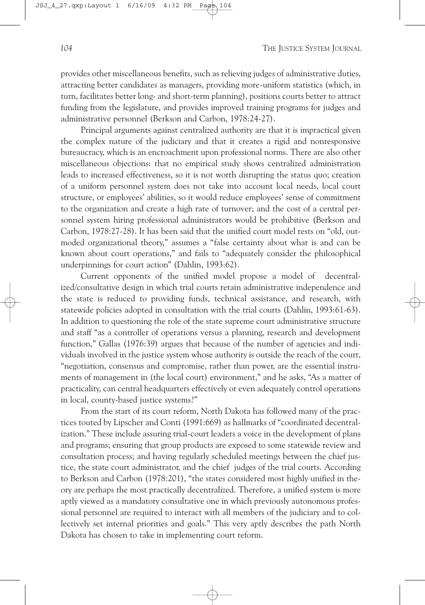provides other miscellaneous benefits, such as relieving judges of administrative duties, attracting better candidates as managers, providing more-uniform statistics (which, in turn, facilitates better long- and short-term planning), positions courts better to attract funding from the legislature, and provides improved training programs for judges and administrative personnel (Berkson and Carbon, 1978:24-27).

Principal arguments against centralized authority are that it is impractical given the complex nature of the judiciary and that it creates a rigid and nonresponsive bureaucracy, which is an encroachment upon professional norms. There are also other miscellaneous objections: that no empirical study shows centralized administration leads to increased effectiveness, so it is not worth disrupting the status quo; creation of a uniform personnel system does not take into account local needs, local court structure, or employees' abilities, so it would reduce employees' sense of commitment to the organization and create a high rate of turnover; and the cost of a central personnel system hiring professional administrators would be prohibitive (Berkson and Carbon, 1978:27-28). It has been said that the unified court model rests on "old, outmoded organizational theory," assumes a "false certainty about what is and can be known about court operations," and fails to "adequately consider the philosophical underpinnings for court action" (Dahlin, 1993:62).

Current opponents of the unified model propose a model of decentralized/consultative design in which trial courts retain administrative independence and the state is reduced to providing funds, technical assistance, and research, with statewide policies adopted in consultation with the trial courts (Dahlin, 1993:61-63). In addition to questioning the role of the state supreme court administrative structure and staff "as a controller of operations versus a planning, research and development function," Gallas (1976:39) argues that because of the number of agencies and individuals involved in the justice system whose authority is outside the reach of the court, "negotiation, consensus and compromise, rather than power, are the essential instruments of management in (the local court) environment," and he asks, "As a matter of practicality, can central headquarters effectively or even adequately control operations in local, county-based justice systems?"

From the start of its court reform, North Dakota has followed many of the practices touted by Lipscher and Conti (1991:669) as hallmarks of "coordinated decentralization." These include assuring trial-court leaders a voice in the development of plans and programs; ensuring that group products are exposed to some statewide review and consultation process; and having regularly scheduled meetings between the chief justice, the state court administrator, and the chief judges of the trial courts. According to Berkson and Carbon (1978:201), "the states considered most highly unified in theory are perhaps the most practically decentralized. Therefore, a unified system is more aptly viewed as a mandatory consultative one in which previously autonomous professional personnel are required to interact with all members of the judiciary and to collectively set internal priorities and goals." This very aptly describes the path North Dakota has chosen to take in implementing court reform.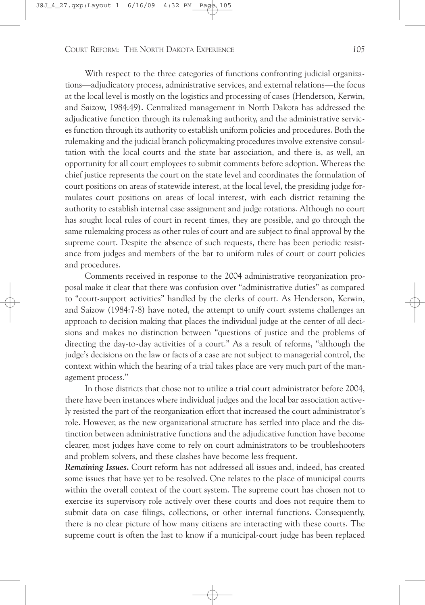and procedures.

COURT REFORM: THE NORTH DAKOTA EXPERIENCE *105*

With respect to the three categories of functions confronting judicial organizations—adjudicatory process, administrative services, and external relations—the focus at the local level is mostly on the logistics and processing of cases (Henderson, Kerwin, and Saizow, 1984:49). Centralized management in North Dakota has addressed the adjudicative function through its rulemaking authority, and the administrative services function through its authority to establish uniform policies and procedures. Both the rulemaking and the judicial branch policymaking procedures involve extensive consultation with the local courts and the state bar association, and there is, as well, an opportunity for all court employees to submit comments before adoption. Whereas the chief justice represents the court on the state level and coordinates the formulation of court positions on areas of statewide interest, at the local level, the presiding judge formulates court positions on areas of local interest, with each district retaining the authority to establish internal case assignment and judge rotations. Although no court has sought local rules of court in recent times, they are possible, and go through the same rulemaking process as other rules of court and are subject to final approval by the supreme court. Despite the absence of such requests, there has been periodic resist-

Comments received in response to the 2004 administrative reorganization proposal make it clear that there was confusion over "administrative duties" as compared to "court-support activities" handled by the clerks of court. As Henderson, Kerwin, and Saizow (1984:7-8) have noted, the attempt to unify court systems challenges an approach to decision making that places the individual judge at the center of all decisions and makes no distinction between "questions of justice and the problems of directing the day-to-day activities of a court." As a result of reforms, "although the judge's decisions on the law or facts of a case are not subject to managerial control, the context within which the hearing of a trial takes place are very much part of the management process."

ance from judges and members of the bar to uniform rules of court or court policies

In those districts that chose not to utilize a trial court administrator before 2004, there have been instances where individual judges and the local bar association actively resisted the part of the reorganization effort that increased the court administrator's role. However, as the new organizational structure has settled into place and the distinction between administrative functions and the adjudicative function have become clearer, most judges have come to rely on court administrators to be troubleshooters and problem solvers, and these clashes have become less frequent.

*Remaining Issues.* Court reform has not addressed all issues and, indeed, has created some issues that have yet to be resolved. One relates to the place of municipal courts within the overall context of the court system. The supreme court has chosen not to exercise its supervisory role actively over these courts and does not require them to submit data on case filings, collections, or other internal functions. Consequently, there is no clear picture of how many citizens are interacting with these courts. The supreme court is often the last to know if a municipal-court judge has been replaced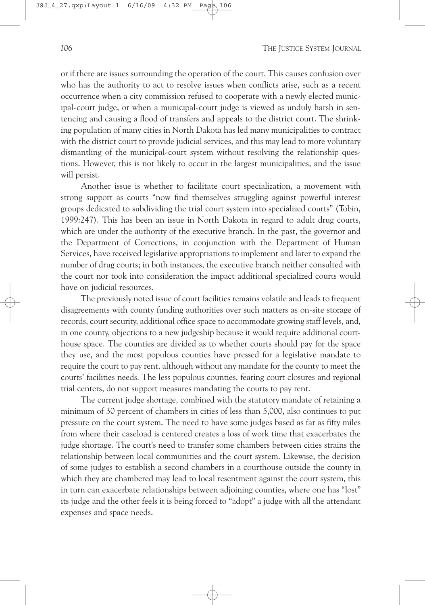or if there are issues surrounding the operation of the court. This causes confusion over who has the authority to act to resolve issues when conflicts arise, such as a recent occurrence when a city commission refused to cooperate with a newly elected municipal-court judge, or when a municipal-court judge is viewed as unduly harsh in sentencing and causing a flood of transfers and appeals to the district court. The shrinking population of many cities in North Dakota has led many municipalities to contract with the district court to provide judicial services, and this may lead to more voluntary dismantling of the municipal-court system without resolving the relationship questions. However, this is not likely to occur in the largest municipalities, and the issue will persist.

Another issue is whether to facilitate court specialization, a movement with strong support as courts "now find themselves struggling against powerful interest groups dedicated to subdividing the trial court system into specialized courts" (Tobin, 1999:247). This has been an issue in North Dakota in regard to adult drug courts, which are under the authority of the executive branch. In the past, the governor and the Department of Corrections, in conjunction with the Department of Human Services, have received legislative appropriations to implement and later to expand the number of drug courts; in both instances, the executive branch neither consulted with the court nor took into consideration the impact additional specialized courts would have on judicial resources.

The previously noted issue of court facilities remains volatile and leads to frequent disagreements with county funding authorities over such matters as on-site storage of records, court security, additional office space to accommodate growing staff levels, and, in one county, objections to a new judgeship because it would require additional courthouse space. The counties are divided as to whether courts should pay for the space they use, and the most populous counties have pressed for a legislative mandate to require the court to pay rent, although without any mandate for the county to meet the courts' facilities needs. The less populous counties, fearing court closures and regional trial centers, do not support measures mandating the courts to pay rent.

The current judge shortage, combined with the statutory mandate of retaining a minimum of 30 percent of chambers in cities of less than 5,000, also continues to put pressure on the court system. The need to have some judges based as far as fifty miles from where their caseload is centered creates a loss of work time that exacerbates the judge shortage. The court's need to transfer some chambers between cities strains the relationship between local communities and the court system. Likewise, the decision of some judges to establish a second chambers in a courthouse outside the county in which they are chambered may lead to local resentment against the court system, this in turn can exacerbate relationships between adjoining counties, where one has "lost" its judge and the other feels it is being forced to "adopt" a judge with all the attendant expenses and space needs.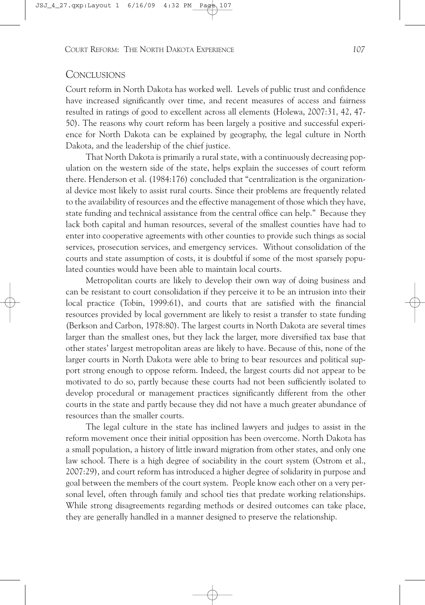## **CONCLUSIONS**

Court reform in North Dakota has worked well. Levels of public trust and confidence have increased significantly over time, and recent measures of access and fairness resulted in ratings of good to excellent across all elements (Holewa, 2007:31, 42, 47- 50). The reasons why court reform has been largely a positive and successful experience for North Dakota can be explained by geography, the legal culture in North Dakota, and the leadership of the chief justice.

That North Dakota is primarily a rural state, with a continuously decreasing population on the western side of the state, helps explain the successes of court reform there. Henderson et al. (1984:176) concluded that "centralization is the organizational device most likely to assist rural courts. Since their problems are frequently related to the availability of resources and the effective management of those which they have, state funding and technical assistance from the central office can help." Because they lack both capital and human resources, several of the smallest counties have had to enter into cooperative agreements with other counties to provide such things as social services, prosecution services, and emergency services. Without consolidation of the courts and state assumption of costs, it is doubtful if some of the most sparsely populated counties would have been able to maintain local courts.

Metropolitan courts are likely to develop their own way of doing business and can be resistant to court consolidation if they perceive it to be an intrusion into their local practice (Tobin, 1999:61), and courts that are satisfied with the financial resources provided by local government are likely to resist a transfer to state funding (Berkson and Carbon, 1978:80). The largest courts in North Dakota are several times larger than the smallest ones, but they lack the larger, more diversified tax base that other states' largest metropolitan areas are likely to have. Because of this, none of the larger courts in North Dakota were able to bring to bear resources and political support strong enough to oppose reform. Indeed, the largest courts did not appear to be motivated to do so, partly because these courts had not been sufficiently isolated to develop procedural or management practices significantly different from the other courts in the state and partly because they did not have a much greater abundance of resources than the smaller courts.

The legal culture in the state has inclined lawyers and judges to assist in the reform movement once their initial opposition has been overcome. North Dakota has a small population, a history of little inward migration from other states, and only one law school. There is a high degree of sociability in the court system (Ostrom et al., 2007:29), and court reform has introduced a higher degree of solidarity in purpose and goal between the members of the court system. People know each other on a very personal level, often through family and school ties that predate working relationships. While strong disagreements regarding methods or desired outcomes can take place, they are generally handled in a manner designed to preserve the relationship.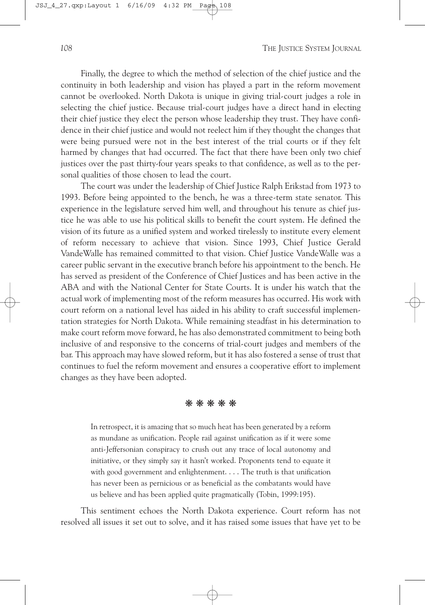Finally, the degree to which the method of selection of the chief justice and the continuity in both leadership and vision has played a part in the reform movement cannot be overlooked. North Dakota is unique in giving trial-court judges a role in selecting the chief justice. Because trial-court judges have a direct hand in electing their chief justice they elect the person whose leadership they trust. They have confidence in their chief justice and would not reelect him if they thought the changes that were being pursued were not in the best interest of the trial courts or if they felt harmed by changes that had occurred. The fact that there have been only two chief justices over the past thirty-four years speaks to that confidence, as well as to the personal qualities of those chosen to lead the court.

The court was under the leadership of Chief Justice Ralph Erikstad from 1973 to 1993. Before being appointed to the bench, he was a three-term state senator. This experience in the legislature served him well, and throughout his tenure as chief justice he was able to use his political skills to benefit the court system. He defined the vision of its future as a unified system and worked tirelessly to institute every element of reform necessary to achieve that vision. Since 1993, Chief Justice Gerald VandeWalle has remained committed to that vision. Chief Justice VandeWalle was a career public servant in the executive branch before his appointment to the bench. He has served as president of the Conference of Chief Justices and has been active in the ABA and with the National Center for State Courts. It is under his watch that the actual work of implementing most of the reform measures has occurred. His work with court reform on a national level has aided in his ability to craft successful implementation strategies for North Dakota. While remaining steadfast in his determination to make court reform move forward, he has also demonstrated commitment to being both inclusive of and responsive to the concerns of trial-court judges and members of the bar. This approach may have slowed reform, but it has also fostered a sense of trust that continues to fuel the reform movement and ensures a cooperative effort to implement changes as they have been adopted.



In retrospect, it is amazing that so much heat has been generated by a reform as mundane as unification. People rail against unification as if it were some anti-Jeffersonian conspiracy to crush out any trace of local autonomy and initiative, or they simply say it hasn't worked. Proponents tend to equate it with good government and enlightenment. . . . The truth is that unification has never been as pernicious or as beneficial as the combatants would have us believe and has been applied quite pragmatically (Tobin, 1999:195).

This sentiment echoes the North Dakota experience. Court reform has not resolved all issues it set out to solve, and it has raised some issues that have yet to be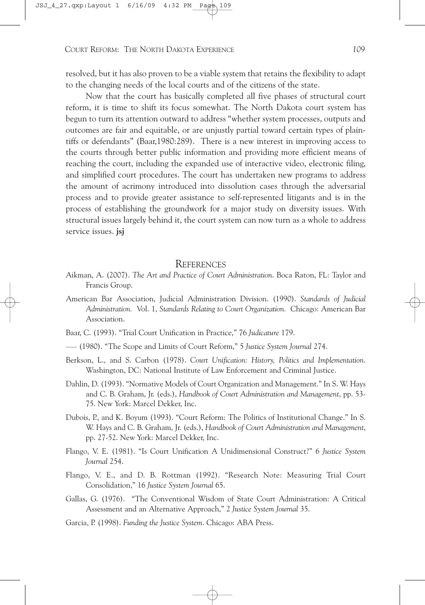resolved, but it has also proven to be a viable system that retains the flexibility to adapt to the changing needs of the local courts and of the citizens of the state.

Now that the court has basically completed all five phases of structural court reform, it is time to shift its focus somewhat. The North Dakota court system has begun to turn its attention outward to address "whether system processes, outputs and outcomes are fair and equitable, or are unjustly partial toward certain types of plaintiffs or defendants" (Baar,1980:289). There is a new interest in improving access to the courts through better public information and providing more efficient means of reaching the court, including the expanded use of interactive video, electronic filing, and simplified court procedures. The court has undertaken new programs to address the amount of acrimony introduced into dissolution cases through the adversarial process and to provide greater assistance to self-represented litigants and is in the process of establishing the groundwork for a major study on diversity issues. With structural issues largely behind it, the court system can now turn as a whole to address service issues. **jsj**

#### **REFERENCES**

- Aikman, A. (2007). *The Art and Practice of Court Administration*. Boca Raton, FL: Taylor and Francis Group.
- American Bar Association, Judicial Administration Division. (1990). *Standards of Judicial Administration.* Vol. 1, *Standards Relating to Court Organization.* Chicago: American Bar Association.
- Baar, C. (1993). "Trial Court Unification in Practice," 76 *Judicature* 179.
- \_\_\_\_ (1980). "The Scope and Limits of Court Reform," 5 *Justice System Journal* 274.
- Berkson, L., and S. Carbon (1978). *Court Unification: History, Politics and Implementation*. Washington, DC: National Institute of Law Enforcement and Criminal Justice.
- Dahlin, D. (1993). "Normative Models of Court Organization and Management." In S. W. Hays and C. B. Graham, Jr. (eds.), *Handbook of Court Administration and Management*, pp. 53- 75. New York: Marcel Dekker, Inc.
- Dubois, P., and K. Boyum (1993). "Court Reform: The Politics of Institutional Change." In S. W. Hays and C. B. Graham, Jr. (eds.), *Handbook of Court Administration and Management*, pp. 27-52. New York: Marcel Dekker, Inc.
- Flango, V. E. (1981). "Is Court Unification A Unidimensional Construct?" 6 *Justice System Journal* 254.
- Flango, V. E., and D. B. Rottman (1992). "Research Note: Measuring Trial Court Consolidation," 16 *Justice System Journal* 65.
- Gallas, G. (1976). "The Conventional Wisdom of State Court Administration: A Critical Assessment and an Alternative Approach," 2 *Justice System Journal* 35.

Garcia, P. (1998). *Funding the Justice System*. Chicago: ABA Press.